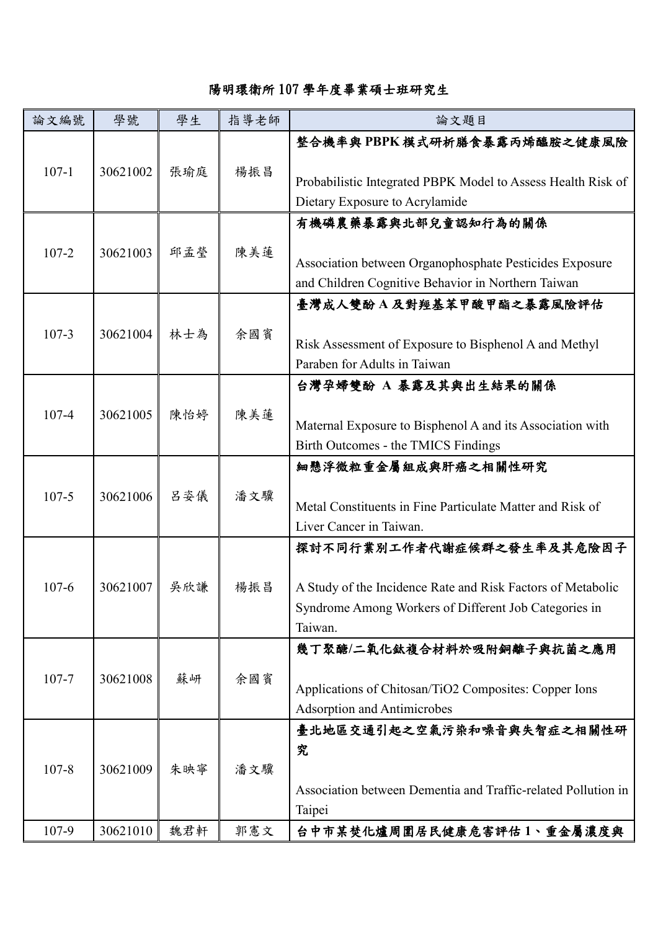## 陽明環衛所 107 學年度畢業碩士班研究生

| 論文編號      | 學號       | 學生  | 指導老師 | 論文題目                                                             |
|-----------|----------|-----|------|------------------------------------------------------------------|
|           |          |     |      | 整合機率與PBPK模式研析膳食暴露丙烯醯胺之健康風險                                       |
| $107 - 1$ | 30621002 | 張瑜庭 | 楊振昌  | Probabilistic Integrated PBPK Model to Assess Health Risk of     |
|           |          |     |      | Dietary Exposure to Acrylamide                                   |
| $107 - 2$ | 30621003 | 邱孟瑩 | 陳美蓮  | 有機磷農藥暴露與北部兒童認知行為的關係                                              |
|           |          |     |      | Association between Organophosphate Pesticides Exposure          |
|           |          |     |      | and Children Cognitive Behavior in Northern Taiwan               |
|           |          |     |      | 臺灣成人雙酚 A 及對羥基苯甲酸甲酯之暴露風險評估                                        |
| $107 - 3$ | 30621004 | 林士為 | 余國賓  |                                                                  |
|           |          |     |      | Risk Assessment of Exposure to Bisphenol A and Methyl            |
|           |          |     |      | Paraben for Adults in Taiwan                                     |
|           |          |     |      | 台灣孕婦雙酚 A 暴露及其與出生結果的關係                                            |
| $107 - 4$ | 30621005 | 陳怡婷 | 陳美蓮  |                                                                  |
|           |          |     |      | Maternal Exposure to Bisphenol A and its Association with        |
|           |          |     |      | Birth Outcomes - the TMICS Findings                              |
| $107 - 5$ | 30621006 | 呂姿儀 | 潘文驥  | 細懸浮微粒重金屬組成與肝癌之相關性研究                                              |
|           |          |     |      |                                                                  |
|           |          |     |      | Metal Constituents in Fine Particulate Matter and Risk of        |
|           |          |     |      | Liver Cancer in Taiwan.                                          |
| $107 - 6$ | 30621007 | 吳欣謙 | 楊振昌  | 探討不同行業別工作者代謝症候群之發生率及其危險因子                                        |
|           |          |     |      |                                                                  |
|           |          |     |      | A Study of the Incidence Rate and Risk Factors of Metabolic      |
|           |          |     |      | Syndrome Among Workers of Different Job Categories in<br>Taiwan. |
|           |          |     |      | 幾丁聚醣/二氧化鈦複合材料於吸附銅離子與抗菌之應用                                        |
| $107 - 7$ | 30621008 | 蘇岍  | 余國賓  |                                                                  |
|           |          |     |      | Applications of Chitosan/TiO2 Composites: Copper Ions            |
|           |          |     |      | <b>Adsorption and Antimicrobes</b>                               |
| $107 - 8$ | 30621009 | 朱映寧 | 潘文驥  | 臺北地區交通引起之空氣污染和噪音與失智症之相關性研                                        |
|           |          |     |      | 究                                                                |
|           |          |     |      |                                                                  |
|           |          |     |      | Association between Dementia and Traffic-related Pollution in    |
|           |          |     |      | Taipei                                                           |
| 107-9     | 30621010 | 魏君軒 | 郭憲文  | 台中市某焚化爐周圍居民健康危害評估1、重金屬濃度與                                        |